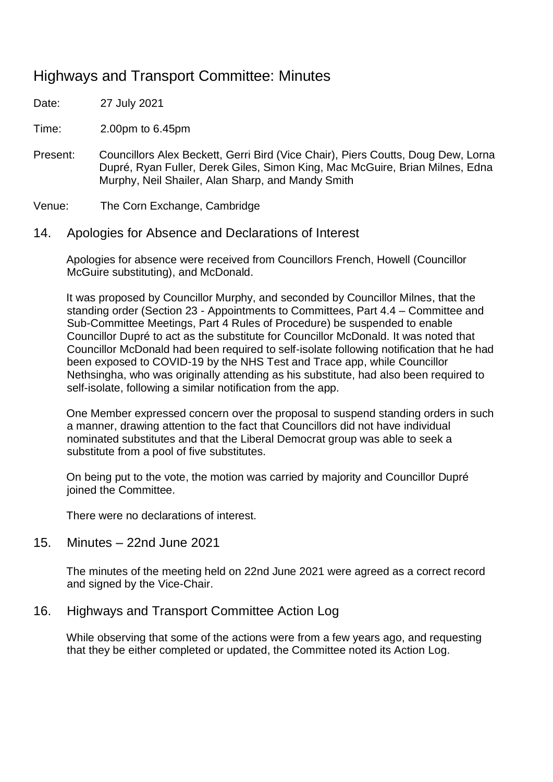# Highways and Transport Committee: Minutes

Date: 27 July 2021

Time: 2.00pm to 6.45pm

Present: Councillors Alex Beckett, Gerri Bird (Vice Chair), Piers Coutts, Doug Dew, Lorna Dupré, Ryan Fuller, Derek Giles, Simon King, Mac McGuire, Brian Milnes, Edna Murphy, Neil Shailer, Alan Sharp, and Mandy Smith

Venue: The Corn Exchange, Cambridge

### 14. Apologies for Absence and Declarations of Interest

Apologies for absence were received from Councillors French, Howell (Councillor McGuire substituting), and McDonald.

It was proposed by Councillor Murphy, and seconded by Councillor Milnes, that the standing order (Section 23 - Appointments to Committees, Part 4.4 – Committee and Sub-Committee Meetings, Part 4 Rules of Procedure) be suspended to enable Councillor Dupré to act as the substitute for Councillor McDonald. It was noted that Councillor McDonald had been required to self-isolate following notification that he had been exposed to COVID-19 by the NHS Test and Trace app, while Councillor Nethsingha, who was originally attending as his substitute, had also been required to self-isolate, following a similar notification from the app.

One Member expressed concern over the proposal to suspend standing orders in such a manner, drawing attention to the fact that Councillors did not have individual nominated substitutes and that the Liberal Democrat group was able to seek a substitute from a pool of five substitutes.

On being put to the vote, the motion was carried by majority and Councillor Dupré joined the Committee.

There were no declarations of interest.

15. Minutes – 22nd June 2021

The minutes of the meeting held on 22nd June 2021 were agreed as a correct record and signed by the Vice-Chair.

### 16. Highways and Transport Committee Action Log

While observing that some of the actions were from a few years ago, and requesting that they be either completed or updated, the Committee noted its Action Log.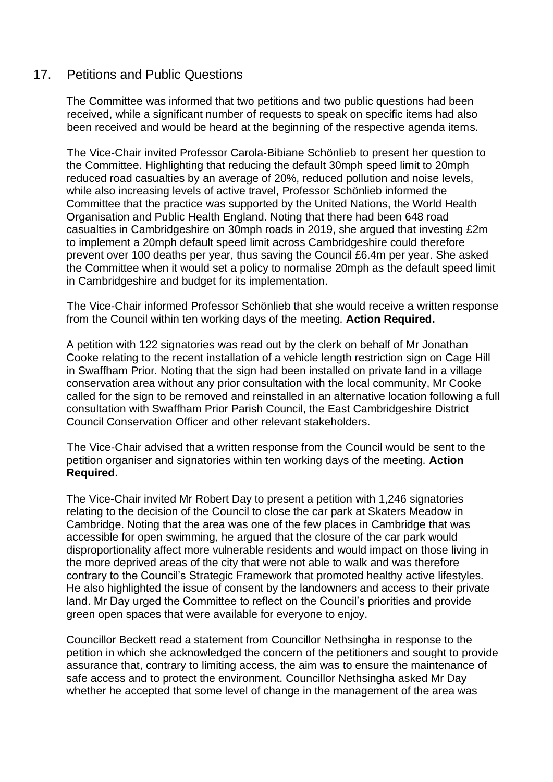### 17. Petitions and Public Questions

The Committee was informed that two petitions and two public questions had been received, while a significant number of requests to speak on specific items had also been received and would be heard at the beginning of the respective agenda items.

The Vice-Chair invited Professor Carola-Bibiane Schönlieb to present her question to the Committee. Highlighting that reducing the default 30mph speed limit to 20mph reduced road casualties by an average of 20%, reduced pollution and noise levels, while also increasing levels of active travel, Professor Schönlieb informed the Committee that the practice was supported by the United Nations, the World Health Organisation and Public Health England. Noting that there had been 648 road casualties in Cambridgeshire on 30mph roads in 2019, she argued that investing £2m to implement a 20mph default speed limit across Cambridgeshire could therefore prevent over 100 deaths per year, thus saving the Council £6.4m per year. She asked the Committee when it would set a policy to normalise 20mph as the default speed limit in Cambridgeshire and budget for its implementation.

The Vice-Chair informed Professor Schönlieb that she would receive a written response from the Council within ten working days of the meeting. **Action Required.**

A petition with 122 signatories was read out by the clerk on behalf of Mr Jonathan Cooke relating to the recent installation of a vehicle length restriction sign on Cage Hill in Swaffham Prior. Noting that the sign had been installed on private land in a village conservation area without any prior consultation with the local community, Mr Cooke called for the sign to be removed and reinstalled in an alternative location following a full consultation with Swaffham Prior Parish Council, the East Cambridgeshire District Council Conservation Officer and other relevant stakeholders.

The Vice-Chair advised that a written response from the Council would be sent to the petition organiser and signatories within ten working days of the meeting. **Action Required.**

The Vice-Chair invited Mr Robert Day to present a petition with 1,246 signatories relating to the decision of the Council to close the car park at Skaters Meadow in Cambridge. Noting that the area was one of the few places in Cambridge that was accessible for open swimming, he argued that the closure of the car park would disproportionality affect more vulnerable residents and would impact on those living in the more deprived areas of the city that were not able to walk and was therefore contrary to the Council's Strategic Framework that promoted healthy active lifestyles. He also highlighted the issue of consent by the landowners and access to their private land. Mr Day urged the Committee to reflect on the Council's priorities and provide green open spaces that were available for everyone to enjoy.

Councillor Beckett read a statement from Councillor Nethsingha in response to the petition in which she acknowledged the concern of the petitioners and sought to provide assurance that, contrary to limiting access, the aim was to ensure the maintenance of safe access and to protect the environment. Councillor Nethsingha asked Mr Day whether he accepted that some level of change in the management of the area was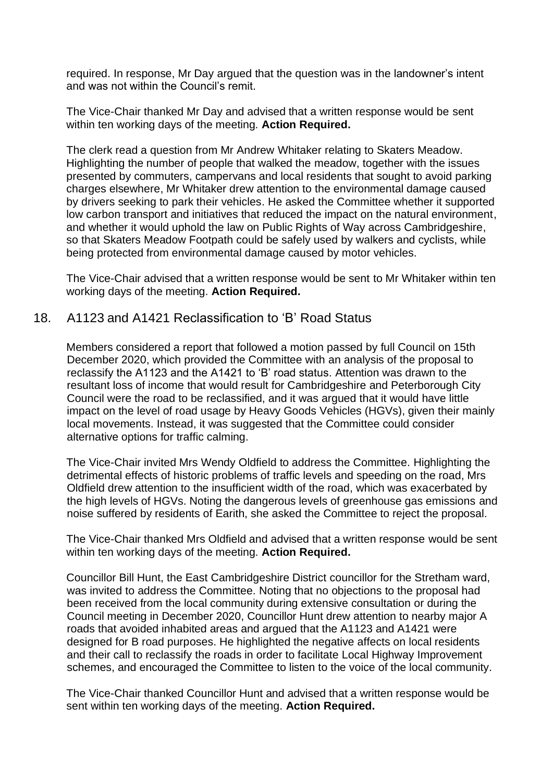required. In response, Mr Day argued that the question was in the landowner's intent and was not within the Council's remit.

The Vice-Chair thanked Mr Day and advised that a written response would be sent within ten working days of the meeting. **Action Required.**

The clerk read a question from Mr Andrew Whitaker relating to Skaters Meadow. Highlighting the number of people that walked the meadow, together with the issues presented by commuters, campervans and local residents that sought to avoid parking charges elsewhere, Mr Whitaker drew attention to the environmental damage caused by drivers seeking to park their vehicles. He asked the Committee whether it supported low carbon transport and initiatives that reduced the impact on the natural environment, and whether it would uphold the law on Public Rights of Way across Cambridgeshire, so that Skaters Meadow Footpath could be safely used by walkers and cyclists, while being protected from environmental damage caused by motor vehicles.

The Vice-Chair advised that a written response would be sent to Mr Whitaker within ten working days of the meeting. **Action Required.**

### 18. A1123 and A1421 Reclassification to 'B' Road Status

Members considered a report that followed a motion passed by full Council on 15th December 2020, which provided the Committee with an analysis of the proposal to reclassify the A1123 and the A1421 to 'B' road status. Attention was drawn to the resultant loss of income that would result for Cambridgeshire and Peterborough City Council were the road to be reclassified, and it was argued that it would have little impact on the level of road usage by Heavy Goods Vehicles (HGVs), given their mainly local movements. Instead, it was suggested that the Committee could consider alternative options for traffic calming.

The Vice-Chair invited Mrs Wendy Oldfield to address the Committee. Highlighting the detrimental effects of historic problems of traffic levels and speeding on the road, Mrs Oldfield drew attention to the insufficient width of the road, which was exacerbated by the high levels of HGVs. Noting the dangerous levels of greenhouse gas emissions and noise suffered by residents of Earith, she asked the Committee to reject the proposal.

The Vice-Chair thanked Mrs Oldfield and advised that a written response would be sent within ten working days of the meeting. **Action Required.**

Councillor Bill Hunt, the East Cambridgeshire District councillor for the Stretham ward, was invited to address the Committee. Noting that no objections to the proposal had been received from the local community during extensive consultation or during the Council meeting in December 2020, Councillor Hunt drew attention to nearby major A roads that avoided inhabited areas and argued that the A1123 and A1421 were designed for B road purposes. He highlighted the negative affects on local residents and their call to reclassify the roads in order to facilitate Local Highway Improvement schemes, and encouraged the Committee to listen to the voice of the local community.

The Vice-Chair thanked Councillor Hunt and advised that a written response would be sent within ten working days of the meeting. **Action Required.**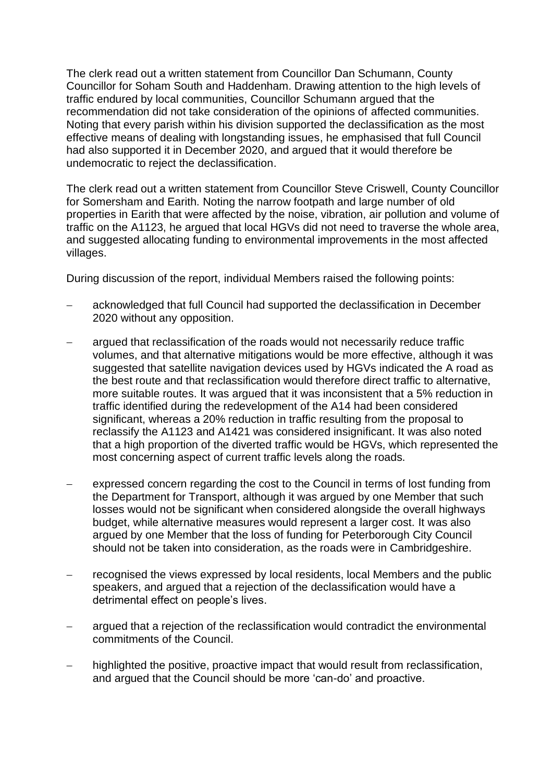The clerk read out a written statement from Councillor Dan Schumann, County Councillor for Soham South and Haddenham. Drawing attention to the high levels of traffic endured by local communities, Councillor Schumann argued that the recommendation did not take consideration of the opinions of affected communities. Noting that every parish within his division supported the declassification as the most effective means of dealing with longstanding issues, he emphasised that full Council had also supported it in December 2020, and argued that it would therefore be undemocratic to reject the declassification.

The clerk read out a written statement from Councillor Steve Criswell, County Councillor for Somersham and Earith. Noting the narrow footpath and large number of old properties in Earith that were affected by the noise, vibration, air pollution and volume of traffic on the A1123, he argued that local HGVs did not need to traverse the whole area, and suggested allocating funding to environmental improvements in the most affected villages.

During discussion of the report, individual Members raised the following points:

- acknowledged that full Council had supported the declassification in December 2020 without any opposition.
- argued that reclassification of the roads would not necessarily reduce traffic volumes, and that alternative mitigations would be more effective, although it was suggested that satellite navigation devices used by HGVs indicated the A road as the best route and that reclassification would therefore direct traffic to alternative, more suitable routes. It was argued that it was inconsistent that a 5% reduction in traffic identified during the redevelopment of the A14 had been considered significant, whereas a 20% reduction in traffic resulting from the proposal to reclassify the A1123 and A1421 was considered insignificant. It was also noted that a high proportion of the diverted traffic would be HGVs, which represented the most concerning aspect of current traffic levels along the roads.
- expressed concern regarding the cost to the Council in terms of lost funding from the Department for Transport, although it was argued by one Member that such losses would not be significant when considered alongside the overall highways budget, while alternative measures would represent a larger cost. It was also argued by one Member that the loss of funding for Peterborough City Council should not be taken into consideration, as the roads were in Cambridgeshire.
- recognised the views expressed by local residents, local Members and the public speakers, and argued that a rejection of the declassification would have a detrimental effect on people's lives.
- − argued that a rejection of the reclassification would contradict the environmental commitments of the Council.
- highlighted the positive, proactive impact that would result from reclassification, and argued that the Council should be more 'can-do' and proactive.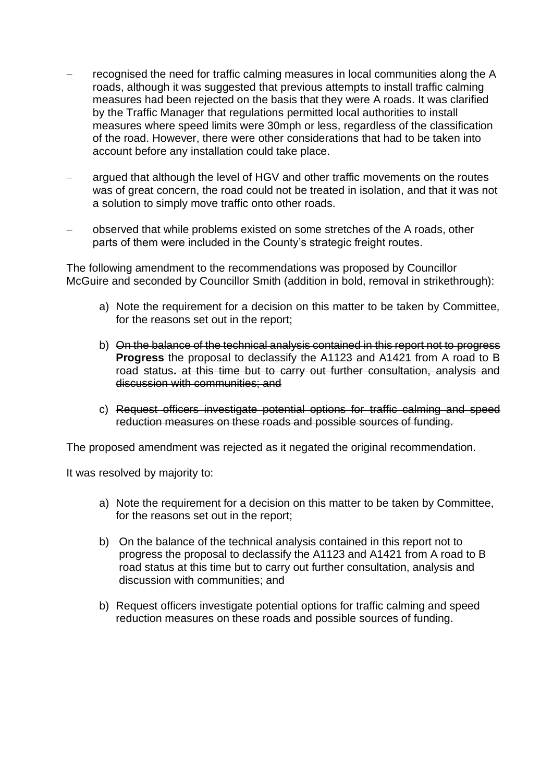- − recognised the need for traffic calming measures in local communities along the A roads, although it was suggested that previous attempts to install traffic calming measures had been rejected on the basis that they were A roads. It was clarified by the Traffic Manager that regulations permitted local authorities to install measures where speed limits were 30mph or less, regardless of the classification of the road. However, there were other considerations that had to be taken into account before any installation could take place.
- argued that although the level of HGV and other traffic movements on the routes was of great concern, the road could not be treated in isolation, and that it was not a solution to simply move traffic onto other roads.
- − observed that while problems existed on some stretches of the A roads, other parts of them were included in the County's strategic freight routes.

The following amendment to the recommendations was proposed by Councillor McGuire and seconded by Councillor Smith (addition in bold, removal in strikethrough):

- a) Note the requirement for a decision on this matter to be taken by Committee, for the reasons set out in the report;
- b) On the balance of the technical analysis contained in this report not to progress **Progress** the proposal to declassify the A1123 and A1421 from A road to B road status**.** at this time but to carry out further consultation, analysis and discussion with communities; and
- c) Request officers investigate potential options for traffic calming and speed reduction measures on these roads and possible sources of funding.

The proposed amendment was rejected as it negated the original recommendation.

It was resolved by majority to:

- a) Note the requirement for a decision on this matter to be taken by Committee, for the reasons set out in the report;
- b) On the balance of the technical analysis contained in this report not to progress the proposal to declassify the A1123 and A1421 from A road to B road status at this time but to carry out further consultation, analysis and discussion with communities; and
- b) Request officers investigate potential options for traffic calming and speed reduction measures on these roads and possible sources of funding.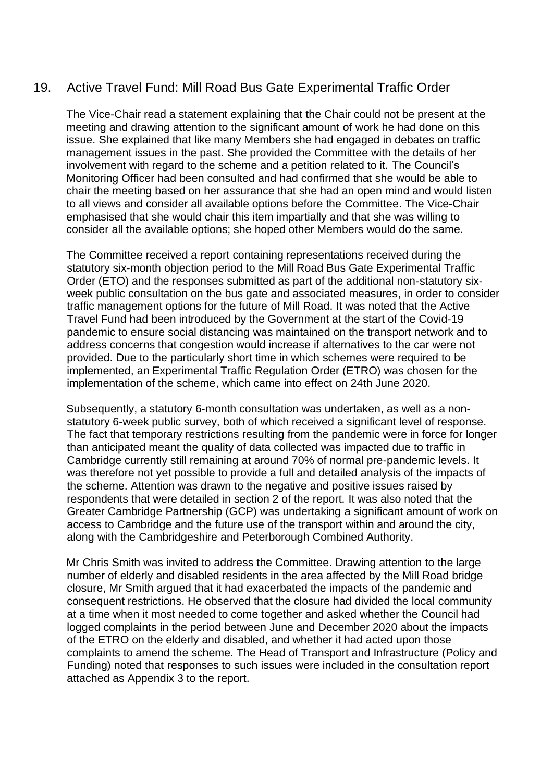## 19. Active Travel Fund: Mill Road Bus Gate Experimental Traffic Order

The Vice-Chair read a statement explaining that the Chair could not be present at the meeting and drawing attention to the significant amount of work he had done on this issue. She explained that like many Members she had engaged in debates on traffic management issues in the past. She provided the Committee with the details of her involvement with regard to the scheme and a petition related to it. The Council's Monitoring Officer had been consulted and had confirmed that she would be able to chair the meeting based on her assurance that she had an open mind and would listen to all views and consider all available options before the Committee. The Vice-Chair emphasised that she would chair this item impartially and that she was willing to consider all the available options; she hoped other Members would do the same.

The Committee received a report containing representations received during the statutory six-month objection period to the Mill Road Bus Gate Experimental Traffic Order (ETO) and the responses submitted as part of the additional non-statutory sixweek public consultation on the bus gate and associated measures, in order to consider traffic management options for the future of Mill Road. It was noted that the Active Travel Fund had been introduced by the Government at the start of the Covid-19 pandemic to ensure social distancing was maintained on the transport network and to address concerns that congestion would increase if alternatives to the car were not provided. Due to the particularly short time in which schemes were required to be implemented, an Experimental Traffic Regulation Order (ETRO) was chosen for the implementation of the scheme, which came into effect on 24th June 2020.

Subsequently, a statutory 6-month consultation was undertaken, as well as a nonstatutory 6-week public survey, both of which received a significant level of response. The fact that temporary restrictions resulting from the pandemic were in force for longer than anticipated meant the quality of data collected was impacted due to traffic in Cambridge currently still remaining at around 70% of normal pre-pandemic levels. It was therefore not yet possible to provide a full and detailed analysis of the impacts of the scheme. Attention was drawn to the negative and positive issues raised by respondents that were detailed in section 2 of the report. It was also noted that the Greater Cambridge Partnership (GCP) was undertaking a significant amount of work on access to Cambridge and the future use of the transport within and around the city, along with the Cambridgeshire and Peterborough Combined Authority.

Mr Chris Smith was invited to address the Committee. Drawing attention to the large number of elderly and disabled residents in the area affected by the Mill Road bridge closure, Mr Smith argued that it had exacerbated the impacts of the pandemic and consequent restrictions. He observed that the closure had divided the local community at a time when it most needed to come together and asked whether the Council had logged complaints in the period between June and December 2020 about the impacts of the ETRO on the elderly and disabled, and whether it had acted upon those complaints to amend the scheme. The Head of Transport and Infrastructure (Policy and Funding) noted that responses to such issues were included in the consultation report attached as Appendix 3 to the report.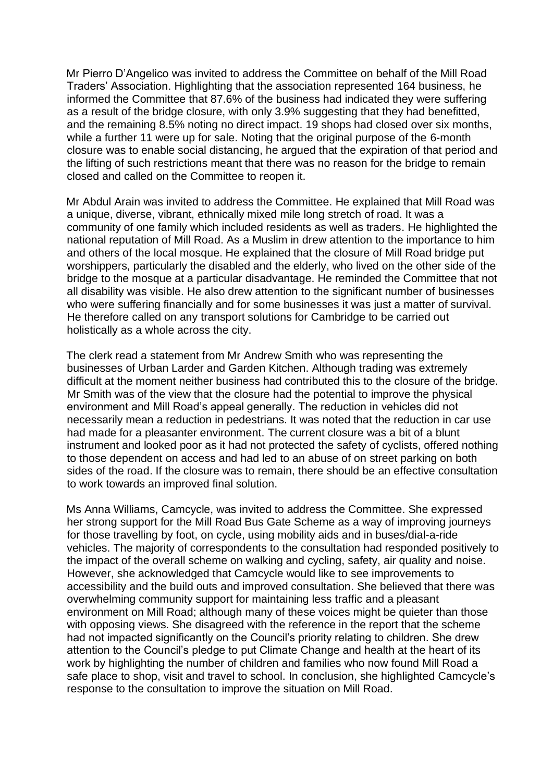Mr Pierro D'Angelico was invited to address the Committee on behalf of the Mill Road Traders' Association. Highlighting that the association represented 164 business, he informed the Committee that 87.6% of the business had indicated they were suffering as a result of the bridge closure, with only 3.9% suggesting that they had benefitted, and the remaining 8.5% noting no direct impact. 19 shops had closed over six months, while a further 11 were up for sale. Noting that the original purpose of the 6-month closure was to enable social distancing, he argued that the expiration of that period and the lifting of such restrictions meant that there was no reason for the bridge to remain closed and called on the Committee to reopen it.

Mr Abdul Arain was invited to address the Committee. He explained that Mill Road was a unique, diverse, vibrant, ethnically mixed mile long stretch of road. It was a community of one family which included residents as well as traders. He highlighted the national reputation of Mill Road. As a Muslim in drew attention to the importance to him and others of the local mosque. He explained that the closure of Mill Road bridge put worshippers, particularly the disabled and the elderly, who lived on the other side of the bridge to the mosque at a particular disadvantage. He reminded the Committee that not all disability was visible. He also drew attention to the significant number of businesses who were suffering financially and for some businesses it was just a matter of survival. He therefore called on any transport solutions for Cambridge to be carried out holistically as a whole across the city.

The clerk read a statement from Mr Andrew Smith who was representing the businesses of Urban Larder and Garden Kitchen. Although trading was extremely difficult at the moment neither business had contributed this to the closure of the bridge. Mr Smith was of the view that the closure had the potential to improve the physical environment and Mill Road's appeal generally. The reduction in vehicles did not necessarily mean a reduction in pedestrians. It was noted that the reduction in car use had made for a pleasanter environment. The current closure was a bit of a blunt instrument and looked poor as it had not protected the safety of cyclists, offered nothing to those dependent on access and had led to an abuse of on street parking on both sides of the road. If the closure was to remain, there should be an effective consultation to work towards an improved final solution.

Ms Anna Williams, Camcycle, was invited to address the Committee. She expressed her strong support for the Mill Road Bus Gate Scheme as a way of improving journeys for those travelling by foot, on cycle, using mobility aids and in buses/dial-a-ride vehicles. The majority of correspondents to the consultation had responded positively to the impact of the overall scheme on walking and cycling, safety, air quality and noise. However, she acknowledged that Camcycle would like to see improvements to accessibility and the build outs and improved consultation. She believed that there was overwhelming community support for maintaining less traffic and a pleasant environment on Mill Road; although many of these voices might be quieter than those with opposing views. She disagreed with the reference in the report that the scheme had not impacted significantly on the Council's priority relating to children. She drew attention to the Council's pledge to put Climate Change and health at the heart of its work by highlighting the number of children and families who now found Mill Road a safe place to shop, visit and travel to school. In conclusion, she highlighted Camcycle's response to the consultation to improve the situation on Mill Road.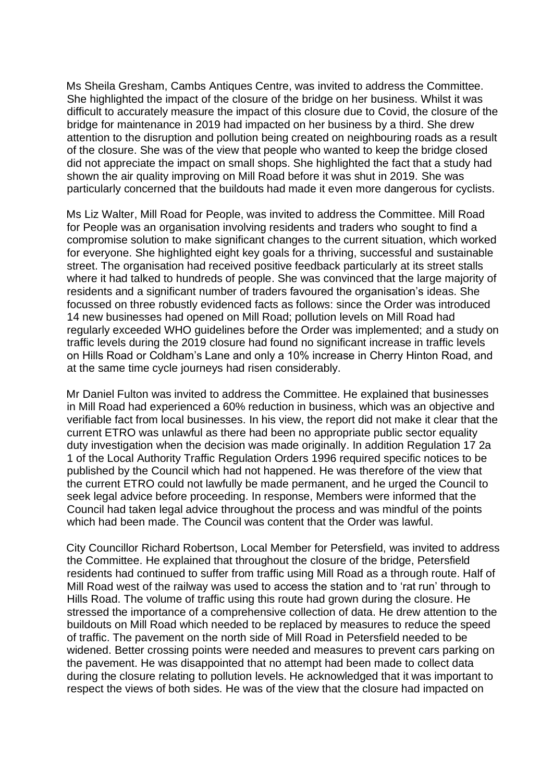Ms Sheila Gresham, Cambs Antiques Centre, was invited to address the Committee. She highlighted the impact of the closure of the bridge on her business. Whilst it was difficult to accurately measure the impact of this closure due to Covid, the closure of the bridge for maintenance in 2019 had impacted on her business by a third. She drew attention to the disruption and pollution being created on neighbouring roads as a result of the closure. She was of the view that people who wanted to keep the bridge closed did not appreciate the impact on small shops. She highlighted the fact that a study had shown the air quality improving on Mill Road before it was shut in 2019. She was particularly concerned that the buildouts had made it even more dangerous for cyclists.

Ms Liz Walter, Mill Road for People, was invited to address the Committee. Mill Road for People was an organisation involving residents and traders who sought to find a compromise solution to make significant changes to the current situation, which worked for everyone. She highlighted eight key goals for a thriving, successful and sustainable street. The organisation had received positive feedback particularly at its street stalls where it had talked to hundreds of people. She was convinced that the large majority of residents and a significant number of traders favoured the organisation's ideas. She focussed on three robustly evidenced facts as follows: since the Order was introduced 14 new businesses had opened on Mill Road; pollution levels on Mill Road had regularly exceeded WHO guidelines before the Order was implemented; and a study on traffic levels during the 2019 closure had found no significant increase in traffic levels on Hills Road or Coldham's Lane and only a 10% increase in Cherry Hinton Road, and at the same time cycle journeys had risen considerably.

Mr Daniel Fulton was invited to address the Committee. He explained that businesses in Mill Road had experienced a 60% reduction in business, which was an objective and verifiable fact from local businesses. In his view, the report did not make it clear that the current ETRO was unlawful as there had been no appropriate public sector equality duty investigation when the decision was made originally. In addition Regulation 17 2a 1 of the Local Authority Traffic Regulation Orders 1996 required specific notices to be published by the Council which had not happened. He was therefore of the view that the current ETRO could not lawfully be made permanent, and he urged the Council to seek legal advice before proceeding. In response, Members were informed that the Council had taken legal advice throughout the process and was mindful of the points which had been made. The Council was content that the Order was lawful.

City Councillor Richard Robertson, Local Member for Petersfield, was invited to address the Committee. He explained that throughout the closure of the bridge, Petersfield residents had continued to suffer from traffic using Mill Road as a through route. Half of Mill Road west of the railway was used to access the station and to 'rat run' through to Hills Road. The volume of traffic using this route had grown during the closure. He stressed the importance of a comprehensive collection of data. He drew attention to the buildouts on Mill Road which needed to be replaced by measures to reduce the speed of traffic. The pavement on the north side of Mill Road in Petersfield needed to be widened. Better crossing points were needed and measures to prevent cars parking on the pavement. He was disappointed that no attempt had been made to collect data during the closure relating to pollution levels. He acknowledged that it was important to respect the views of both sides. He was of the view that the closure had impacted on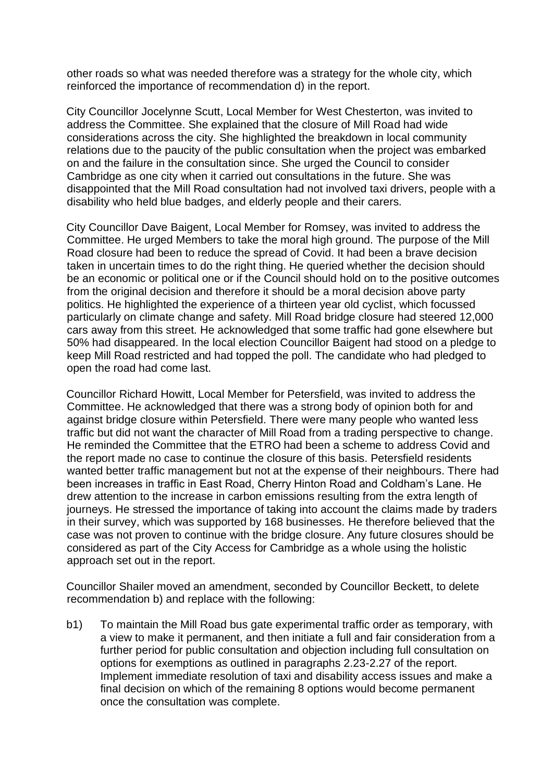other roads so what was needed therefore was a strategy for the whole city, which reinforced the importance of recommendation d) in the report.

City Councillor Jocelynne Scutt, Local Member for West Chesterton, was invited to address the Committee. She explained that the closure of Mill Road had wide considerations across the city. She highlighted the breakdown in local community relations due to the paucity of the public consultation when the project was embarked on and the failure in the consultation since. She urged the Council to consider Cambridge as one city when it carried out consultations in the future. She was disappointed that the Mill Road consultation had not involved taxi drivers, people with a disability who held blue badges, and elderly people and their carers.

City Councillor Dave Baigent, Local Member for Romsey, was invited to address the Committee. He urged Members to take the moral high ground. The purpose of the Mill Road closure had been to reduce the spread of Covid. It had been a brave decision taken in uncertain times to do the right thing. He queried whether the decision should be an economic or political one or if the Council should hold on to the positive outcomes from the original decision and therefore it should be a moral decision above party politics. He highlighted the experience of a thirteen year old cyclist, which focussed particularly on climate change and safety. Mill Road bridge closure had steered 12,000 cars away from this street. He acknowledged that some traffic had gone elsewhere but 50% had disappeared. In the local election Councillor Baigent had stood on a pledge to keep Mill Road restricted and had topped the poll. The candidate who had pledged to open the road had come last.

Councillor Richard Howitt, Local Member for Petersfield, was invited to address the Committee. He acknowledged that there was a strong body of opinion both for and against bridge closure within Petersfield. There were many people who wanted less traffic but did not want the character of Mill Road from a trading perspective to change. He reminded the Committee that the ETRO had been a scheme to address Covid and the report made no case to continue the closure of this basis. Petersfield residents wanted better traffic management but not at the expense of their neighbours. There had been increases in traffic in East Road, Cherry Hinton Road and Coldham's Lane. He drew attention to the increase in carbon emissions resulting from the extra length of journeys. He stressed the importance of taking into account the claims made by traders in their survey, which was supported by 168 businesses. He therefore believed that the case was not proven to continue with the bridge closure. Any future closures should be considered as part of the City Access for Cambridge as a whole using the holistic approach set out in the report.

Councillor Shailer moved an amendment, seconded by Councillor Beckett, to delete recommendation b) and replace with the following:

b1) To maintain the Mill Road bus gate experimental traffic order as temporary, with a view to make it permanent, and then initiate a full and fair consideration from a further period for public consultation and objection including full consultation on options for exemptions as outlined in paragraphs 2.23-2.27 of the report. Implement immediate resolution of taxi and disability access issues and make a final decision on which of the remaining 8 options would become permanent once the consultation was complete.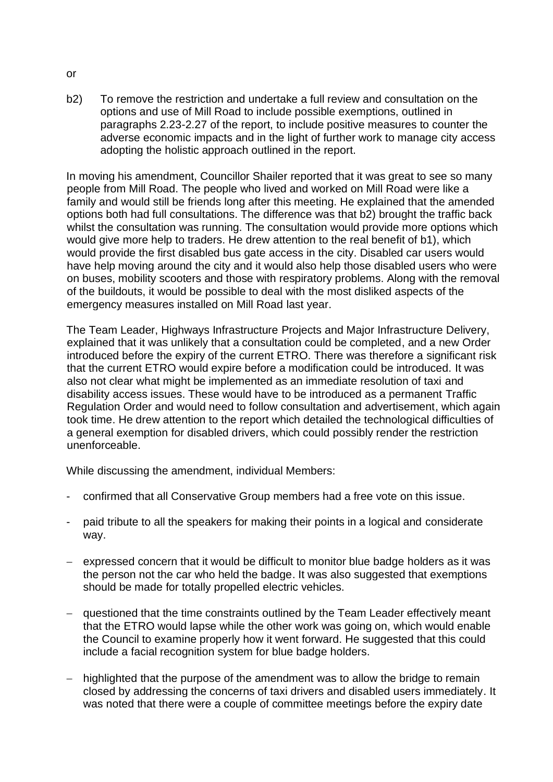b2) To remove the restriction and undertake a full review and consultation on the options and use of Mill Road to include possible exemptions, outlined in paragraphs 2.23-2.27 of the report, to include positive measures to counter the adverse economic impacts and in the light of further work to manage city access adopting the holistic approach outlined in the report.

In moving his amendment, Councillor Shailer reported that it was great to see so many people from Mill Road. The people who lived and worked on Mill Road were like a family and would still be friends long after this meeting. He explained that the amended options both had full consultations. The difference was that b2) brought the traffic back whilst the consultation was running. The consultation would provide more options which would give more help to traders. He drew attention to the real benefit of b1), which would provide the first disabled bus gate access in the city. Disabled car users would have help moving around the city and it would also help those disabled users who were on buses, mobility scooters and those with respiratory problems. Along with the removal of the buildouts, it would be possible to deal with the most disliked aspects of the emergency measures installed on Mill Road last year.

The Team Leader, Highways Infrastructure Projects and Major Infrastructure Delivery, explained that it was unlikely that a consultation could be completed, and a new Order introduced before the expiry of the current ETRO. There was therefore a significant risk that the current ETRO would expire before a modification could be introduced. It was also not clear what might be implemented as an immediate resolution of taxi and disability access issues. These would have to be introduced as a permanent Traffic Regulation Order and would need to follow consultation and advertisement, which again took time. He drew attention to the report which detailed the technological difficulties of a general exemption for disabled drivers, which could possibly render the restriction unenforceable.

While discussing the amendment, individual Members:

- confirmed that all Conservative Group members had a free vote on this issue.
- paid tribute to all the speakers for making their points in a logical and considerate way.
- − expressed concern that it would be difficult to monitor blue badge holders as it was the person not the car who held the badge. It was also suggested that exemptions should be made for totally propelled electric vehicles.
- − questioned that the time constraints outlined by the Team Leader effectively meant that the ETRO would lapse while the other work was going on, which would enable the Council to examine properly how it went forward. He suggested that this could include a facial recognition system for blue badge holders.
- highlighted that the purpose of the amendment was to allow the bridge to remain closed by addressing the concerns of taxi drivers and disabled users immediately. It was noted that there were a couple of committee meetings before the expiry date

or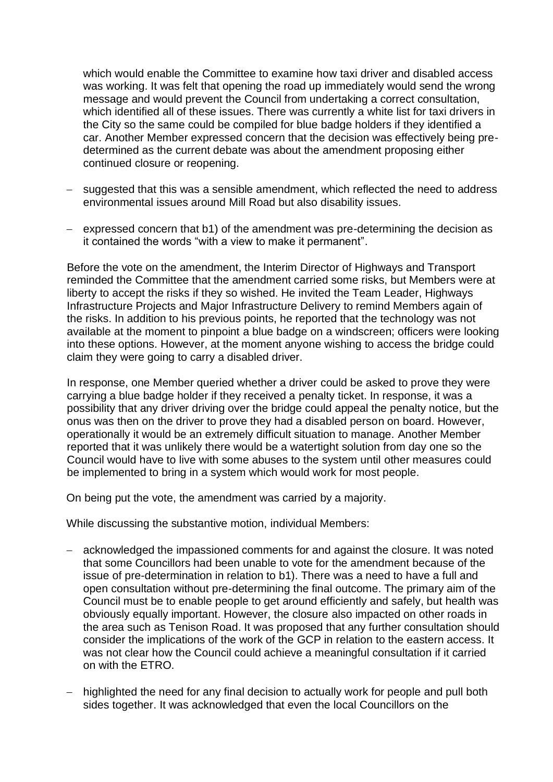which would enable the Committee to examine how taxi driver and disabled access was working. It was felt that opening the road up immediately would send the wrong message and would prevent the Council from undertaking a correct consultation, which identified all of these issues. There was currently a white list for taxi drivers in the City so the same could be compiled for blue badge holders if they identified a car. Another Member expressed concern that the decision was effectively being predetermined as the current debate was about the amendment proposing either continued closure or reopening.

- − suggested that this was a sensible amendment, which reflected the need to address environmental issues around Mill Road but also disability issues.
- − expressed concern that b1) of the amendment was pre-determining the decision as it contained the words "with a view to make it permanent".

Before the vote on the amendment, the Interim Director of Highways and Transport reminded the Committee that the amendment carried some risks, but Members were at liberty to accept the risks if they so wished. He invited the Team Leader, Highways Infrastructure Projects and Major Infrastructure Delivery to remind Members again of the risks. In addition to his previous points, he reported that the technology was not available at the moment to pinpoint a blue badge on a windscreen; officers were looking into these options. However, at the moment anyone wishing to access the bridge could claim they were going to carry a disabled driver.

In response, one Member queried whether a driver could be asked to prove they were carrying a blue badge holder if they received a penalty ticket. In response, it was a possibility that any driver driving over the bridge could appeal the penalty notice, but the onus was then on the driver to prove they had a disabled person on board. However, operationally it would be an extremely difficult situation to manage. Another Member reported that it was unlikely there would be a watertight solution from day one so the Council would have to live with some abuses to the system until other measures could be implemented to bring in a system which would work for most people.

On being put the vote, the amendment was carried by a majority.

While discussing the substantive motion, individual Members:

- − acknowledged the impassioned comments for and against the closure. It was noted that some Councillors had been unable to vote for the amendment because of the issue of pre-determination in relation to b1). There was a need to have a full and open consultation without pre-determining the final outcome. The primary aim of the Council must be to enable people to get around efficiently and safely, but health was obviously equally important. However, the closure also impacted on other roads in the area such as Tenison Road. It was proposed that any further consultation should consider the implications of the work of the GCP in relation to the eastern access. It was not clear how the Council could achieve a meaningful consultation if it carried on with the ETRO.
- − highlighted the need for any final decision to actually work for people and pull both sides together. It was acknowledged that even the local Councillors on the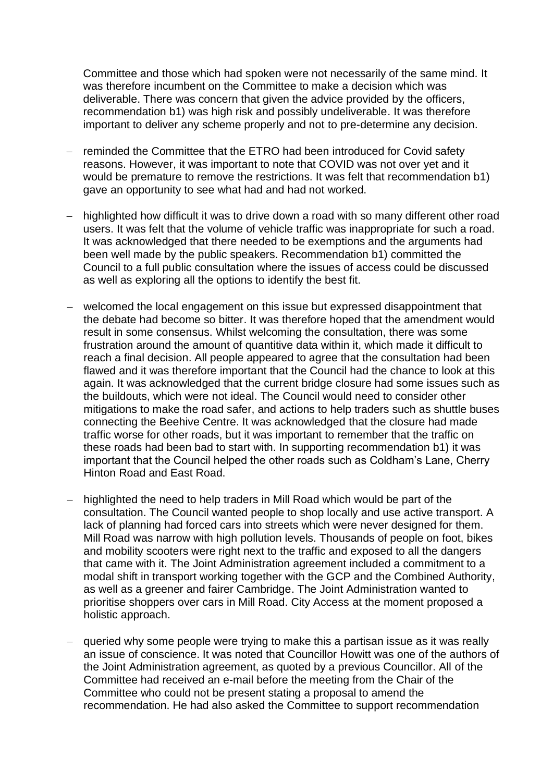Committee and those which had spoken were not necessarily of the same mind. It was therefore incumbent on the Committee to make a decision which was deliverable. There was concern that given the advice provided by the officers, recommendation b1) was high risk and possibly undeliverable. It was therefore important to deliver any scheme properly and not to pre-determine any decision.

- Treminded the Committee that the ETRO had been introduced for Covid safety reasons. However, it was important to note that COVID was not over yet and it would be premature to remove the restrictions. It was felt that recommendation b1) gave an opportunity to see what had and had not worked.
- − highlighted how difficult it was to drive down a road with so many different other road users. It was felt that the volume of vehicle traffic was inappropriate for such a road. It was acknowledged that there needed to be exemptions and the arguments had been well made by the public speakers. Recommendation b1) committed the Council to a full public consultation where the issues of access could be discussed as well as exploring all the options to identify the best fit.
- − welcomed the local engagement on this issue but expressed disappointment that the debate had become so bitter. It was therefore hoped that the amendment would result in some consensus. Whilst welcoming the consultation, there was some frustration around the amount of quantitive data within it, which made it difficult to reach a final decision. All people appeared to agree that the consultation had been flawed and it was therefore important that the Council had the chance to look at this again. It was acknowledged that the current bridge closure had some issues such as the buildouts, which were not ideal. The Council would need to consider other mitigations to make the road safer, and actions to help traders such as shuttle buses connecting the Beehive Centre. It was acknowledged that the closure had made traffic worse for other roads, but it was important to remember that the traffic on these roads had been bad to start with. In supporting recommendation b1) it was important that the Council helped the other roads such as Coldham's Lane, Cherry Hinton Road and East Road.
- − highlighted the need to help traders in Mill Road which would be part of the consultation. The Council wanted people to shop locally and use active transport. A lack of planning had forced cars into streets which were never designed for them. Mill Road was narrow with high pollution levels. Thousands of people on foot, bikes and mobility scooters were right next to the traffic and exposed to all the dangers that came with it. The Joint Administration agreement included a commitment to a modal shift in transport working together with the GCP and the Combined Authority, as well as a greener and fairer Cambridge. The Joint Administration wanted to prioritise shoppers over cars in Mill Road. City Access at the moment proposed a holistic approach.
- − queried why some people were trying to make this a partisan issue as it was really an issue of conscience. It was noted that Councillor Howitt was one of the authors of the Joint Administration agreement, as quoted by a previous Councillor. All of the Committee had received an e-mail before the meeting from the Chair of the Committee who could not be present stating a proposal to amend the recommendation. He had also asked the Committee to support recommendation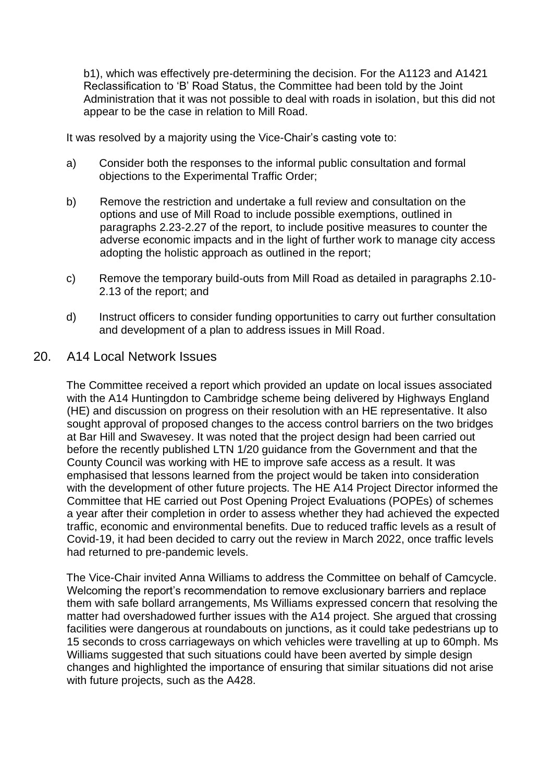b1), which was effectively pre-determining the decision. For the A1123 and A1421 Reclassification to 'B' Road Status, the Committee had been told by the Joint Administration that it was not possible to deal with roads in isolation, but this did not appear to be the case in relation to Mill Road.

It was resolved by a majority using the Vice-Chair's casting vote to:

- a) Consider both the responses to the informal public consultation and formal objections to the Experimental Traffic Order;
- b) Remove the restriction and undertake a full review and consultation on the options and use of Mill Road to include possible exemptions, outlined in paragraphs 2.23-2.27 of the report, to include positive measures to counter the adverse economic impacts and in the light of further work to manage city access adopting the holistic approach as outlined in the report;
- c) Remove the temporary build-outs from Mill Road as detailed in paragraphs 2.10- 2.13 of the report; and
- d) Instruct officers to consider funding opportunities to carry out further consultation and development of a plan to address issues in Mill Road.

#### 20. A14 Local Network Issues

The Committee received a report which provided an update on local issues associated with the A14 Huntingdon to Cambridge scheme being delivered by Highways England (HE) and discussion on progress on their resolution with an HE representative. It also sought approval of proposed changes to the access control barriers on the two bridges at Bar Hill and Swavesey. It was noted that the project design had been carried out before the recently published LTN 1/20 guidance from the Government and that the County Council was working with HE to improve safe access as a result. It was emphasised that lessons learned from the project would be taken into consideration with the development of other future projects. The HE A14 Project Director informed the Committee that HE carried out Post Opening Project Evaluations (POPEs) of schemes a year after their completion in order to assess whether they had achieved the expected traffic, economic and environmental benefits. Due to reduced traffic levels as a result of Covid-19, it had been decided to carry out the review in March 2022, once traffic levels had returned to pre-pandemic levels.

The Vice-Chair invited Anna Williams to address the Committee on behalf of Camcycle. Welcoming the report's recommendation to remove exclusionary barriers and replace them with safe bollard arrangements, Ms Williams expressed concern that resolving the matter had overshadowed further issues with the A14 project. She argued that crossing facilities were dangerous at roundabouts on junctions, as it could take pedestrians up to 15 seconds to cross carriageways on which vehicles were travelling at up to 60mph. Ms Williams suggested that such situations could have been averted by simple design changes and highlighted the importance of ensuring that similar situations did not arise with future projects, such as the A428.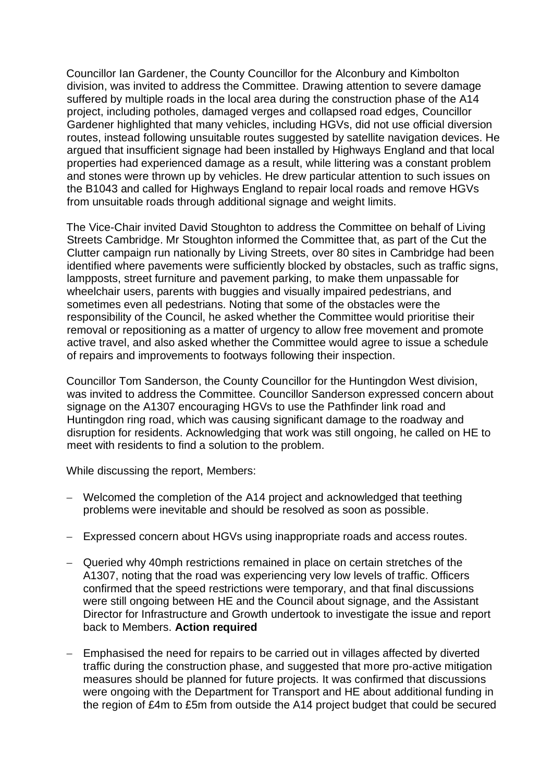Councillor Ian Gardener, the County Councillor for the Alconbury and Kimbolton division, was invited to address the Committee. Drawing attention to severe damage suffered by multiple roads in the local area during the construction phase of the A14 project, including potholes, damaged verges and collapsed road edges, Councillor Gardener highlighted that many vehicles, including HGVs, did not use official diversion routes, instead following unsuitable routes suggested by satellite navigation devices. He argued that insufficient signage had been installed by Highways England and that local properties had experienced damage as a result, while littering was a constant problem and stones were thrown up by vehicles. He drew particular attention to such issues on the B1043 and called for Highways England to repair local roads and remove HGVs from unsuitable roads through additional signage and weight limits.

The Vice-Chair invited David Stoughton to address the Committee on behalf of Living Streets Cambridge. Mr Stoughton informed the Committee that, as part of the Cut the Clutter campaign run nationally by Living Streets, over 80 sites in Cambridge had been identified where pavements were sufficiently blocked by obstacles, such as traffic signs, lampposts, street furniture and pavement parking, to make them unpassable for wheelchair users, parents with buggies and visually impaired pedestrians, and sometimes even all pedestrians. Noting that some of the obstacles were the responsibility of the Council, he asked whether the Committee would prioritise their removal or repositioning as a matter of urgency to allow free movement and promote active travel, and also asked whether the Committee would agree to issue a schedule of repairs and improvements to footways following their inspection.

Councillor Tom Sanderson, the County Councillor for the Huntingdon West division, was invited to address the Committee. Councillor Sanderson expressed concern about signage on the A1307 encouraging HGVs to use the Pathfinder link road and Huntingdon ring road, which was causing significant damage to the roadway and disruption for residents. Acknowledging that work was still ongoing, he called on HE to meet with residents to find a solution to the problem.

While discussing the report, Members:

- − Welcomed the completion of the A14 project and acknowledged that teething problems were inevitable and should be resolved as soon as possible.
- − Expressed concern about HGVs using inappropriate roads and access routes.
- − Queried why 40mph restrictions remained in place on certain stretches of the A1307, noting that the road was experiencing very low levels of traffic. Officers confirmed that the speed restrictions were temporary, and that final discussions were still ongoing between HE and the Council about signage, and the Assistant Director for Infrastructure and Growth undertook to investigate the issue and report back to Members. **Action required**
- − Emphasised the need for repairs to be carried out in villages affected by diverted traffic during the construction phase, and suggested that more pro-active mitigation measures should be planned for future projects. It was confirmed that discussions were ongoing with the Department for Transport and HE about additional funding in the region of £4m to £5m from outside the A14 project budget that could be secured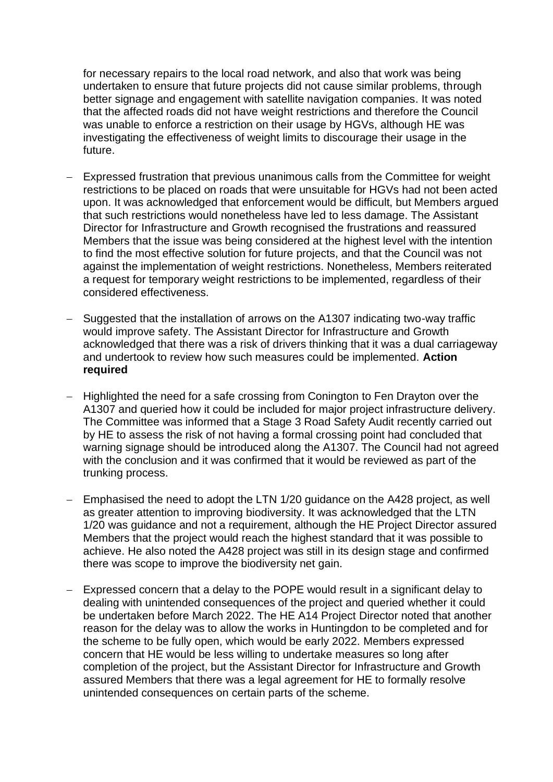for necessary repairs to the local road network, and also that work was being undertaken to ensure that future projects did not cause similar problems, through better signage and engagement with satellite navigation companies. It was noted that the affected roads did not have weight restrictions and therefore the Council was unable to enforce a restriction on their usage by HGVs, although HE was investigating the effectiveness of weight limits to discourage their usage in the future.

- − Expressed frustration that previous unanimous calls from the Committee for weight restrictions to be placed on roads that were unsuitable for HGVs had not been acted upon. It was acknowledged that enforcement would be difficult, but Members argued that such restrictions would nonetheless have led to less damage. The Assistant Director for Infrastructure and Growth recognised the frustrations and reassured Members that the issue was being considered at the highest level with the intention to find the most effective solution for future projects, and that the Council was not against the implementation of weight restrictions. Nonetheless, Members reiterated a request for temporary weight restrictions to be implemented, regardless of their considered effectiveness.
- − Suggested that the installation of arrows on the A1307 indicating two-way traffic would improve safety. The Assistant Director for Infrastructure and Growth acknowledged that there was a risk of drivers thinking that it was a dual carriageway and undertook to review how such measures could be implemented. **Action required**
- − Highlighted the need for a safe crossing from Conington to Fen Drayton over the A1307 and queried how it could be included for major project infrastructure delivery. The Committee was informed that a Stage 3 Road Safety Audit recently carried out by HE to assess the risk of not having a formal crossing point had concluded that warning signage should be introduced along the A1307. The Council had not agreed with the conclusion and it was confirmed that it would be reviewed as part of the trunking process.
- − Emphasised the need to adopt the LTN 1/20 guidance on the A428 project, as well as greater attention to improving biodiversity. It was acknowledged that the LTN 1/20 was guidance and not a requirement, although the HE Project Director assured Members that the project would reach the highest standard that it was possible to achieve. He also noted the A428 project was still in its design stage and confirmed there was scope to improve the biodiversity net gain.
- Expressed concern that a delay to the POPE would result in a significant delay to dealing with unintended consequences of the project and queried whether it could be undertaken before March 2022. The HE A14 Project Director noted that another reason for the delay was to allow the works in Huntingdon to be completed and for the scheme to be fully open, which would be early 2022. Members expressed concern that HE would be less willing to undertake measures so long after completion of the project, but the Assistant Director for Infrastructure and Growth assured Members that there was a legal agreement for HE to formally resolve unintended consequences on certain parts of the scheme.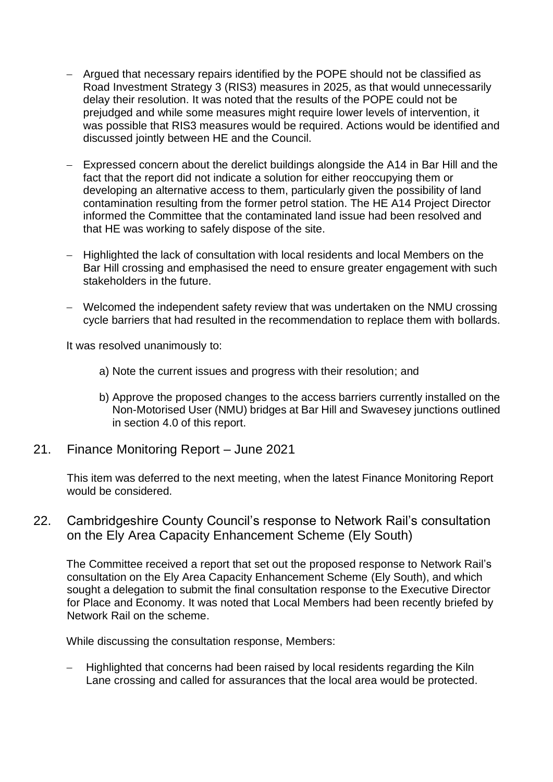- − Argued that necessary repairs identified by the POPE should not be classified as Road Investment Strategy 3 (RIS3) measures in 2025, as that would unnecessarily delay their resolution. It was noted that the results of the POPE could not be prejudged and while some measures might require lower levels of intervention, it was possible that RIS3 measures would be required. Actions would be identified and discussed jointly between HE and the Council.
- − Expressed concern about the derelict buildings alongside the A14 in Bar Hill and the fact that the report did not indicate a solution for either reoccupying them or developing an alternative access to them, particularly given the possibility of land contamination resulting from the former petrol station. The HE A14 Project Director informed the Committee that the contaminated land issue had been resolved and that HE was working to safely dispose of the site.
- − Highlighted the lack of consultation with local residents and local Members on the Bar Hill crossing and emphasised the need to ensure greater engagement with such stakeholders in the future.
- − Welcomed the independent safety review that was undertaken on the NMU crossing cycle barriers that had resulted in the recommendation to replace them with bollards.

It was resolved unanimously to:

- a) Note the current issues and progress with their resolution; and
- b) Approve the proposed changes to the access barriers currently installed on the Non-Motorised User (NMU) bridges at Bar Hill and Swavesey junctions outlined in section 4.0 of this report.
- 21. Finance Monitoring Report June 2021

This item was deferred to the next meeting, when the latest Finance Monitoring Report would be considered.

22. Cambridgeshire County Council's response to Network Rail's consultation on the Ely Area Capacity Enhancement Scheme (Ely South)

The Committee received a report that set out the proposed response to Network Rail's consultation on the Ely Area Capacity Enhancement Scheme (Ely South), and which sought a delegation to submit the final consultation response to the Executive Director for Place and Economy. It was noted that Local Members had been recently briefed by Network Rail on the scheme.

While discussing the consultation response, Members:

− Highlighted that concerns had been raised by local residents regarding the Kiln Lane crossing and called for assurances that the local area would be protected.